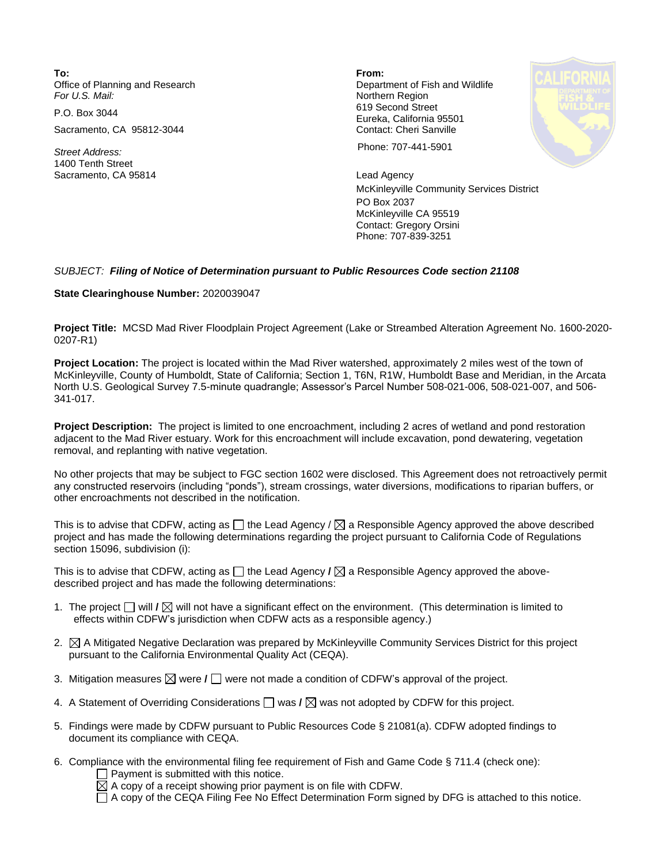**To: From:**  Office of Planning and Research **Department of Fish and Wildlife**<br>
For U.S. Mail: **Department of Fish and Wildlife** 

Sacramento, CA 95812-3044 Contact: Cheri Sanville

1400 Tenth Street Sacramento, CA 95814 Lead Agency

**Northern Region** P.O. Box 3044 619 Second Street Eureka, California 95501

*Street Address:* Phone: 707-441-5901

McKinleyville Community Services District PO Box 2037 McKinleyville CA 95519 Contact: Gregory Orsini Phone: 707-839-3251

## *SUBJECT: Filing of Notice of Determination pursuant to Public Resources Code section 21108*

## **State Clearinghouse Number:** 2020039047

**Project Title:** MCSD Mad River Floodplain Project Agreement (Lake or Streambed Alteration Agreement No. 1600-2020- 0207-R1)

**Project Location:** The project is located within the Mad River watershed, approximately 2 miles west of the town of McKinleyville, County of Humboldt, State of California; Section 1, T6N, R1W, Humboldt Base and Meridian, in the Arcata North U.S. Geological Survey 7.5-minute quadrangle; Assessor's Parcel Number 508-021-006, 508-021-007, and 506- 341-017.

**Project Description:** The project is limited to one encroachment, including 2 acres of wetland and pond restoration adjacent to the Mad River estuary. Work for this encroachment will include excavation, pond dewatering, vegetation removal, and replanting with native vegetation.

No other projects that may be subject to FGC section 1602 were disclosed. This Agreement does not retroactively permit any constructed reservoirs (including "ponds"), stream crossings, water diversions, modifications to riparian buffers, or other encroachments not described in the notification.

This is to advise that CDFW, acting as  $\Box$  the Lead Agency /  $\boxtimes$  a Responsible Agency approved the above described project and has made the following determinations regarding the project pursuant to California Code of Regulations section 15096, subdivision (i):

This is to advise that CDFW, acting as  $\Box$  the Lead Agency **/**  $\boxtimes$  a Responsible Agency approved the abovedescribed project and has made the following determinations:

- desenbed project and has made the following determinations.<br>1. The project □ will **/** ⊠ will not have a significant effect on the environment. (This determination is limited to effects within CDEW's invigations when CDEW effects within CDFW's jurisdiction when CDFW acts as a responsible agency.)
- 2.  $\boxtimes$  A Mitigated Negative Declaration was prepared by McKinleyville Community Services District for this project pursuant to the California Environmental Quality Act (CEQA).
- 3. Mitigation measures  $\boxtimes$  were **/**  $\Box$  were not made a condition of CDFW's approval of the project.
- 4. A Statement of Overriding Considerations  $\Box$  was  $\prime \boxtimes$  was not adopted by CDFW for this project.
- 5. Findings were made by CDFW pursuant to Public Resources Code § 21081(a). CDFW adopted findings to document its compliance with CEQA.
- 6. Compliance with the environmental filing fee requirement of Fish and Game Code § 711.4 (check one):
	- $\Box$  Payment is submitted with this notice.

 $\boxtimes$  A copy of a receipt showing prior payment is on file with CDFW.

A copy of the CEQA Filing Fee No Effect Determination Form signed by DFG is attached to this notice.